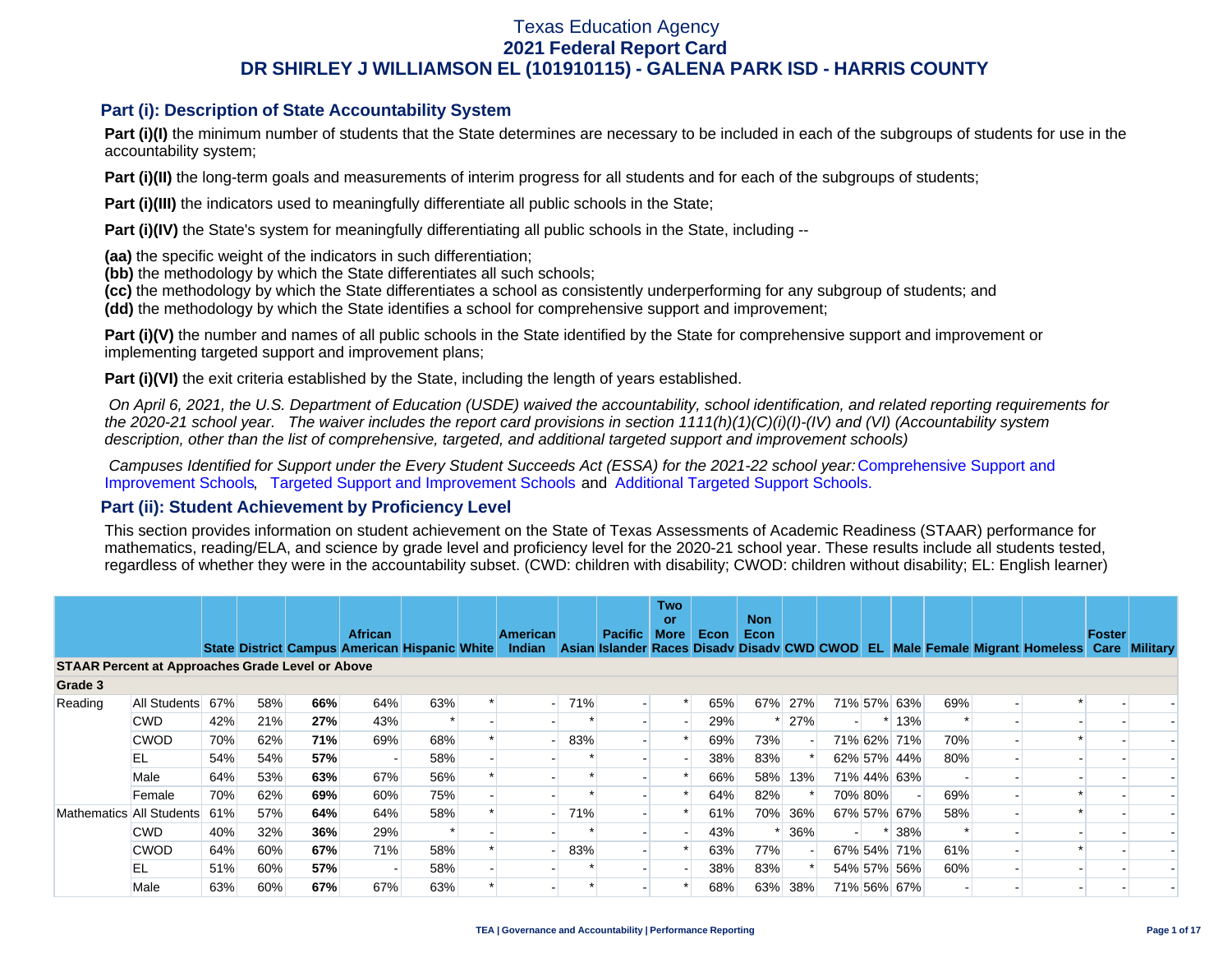### **Part (i): Description of State Accountability System**

Part (i)(I) the minimum number of students that the State determines are necessary to be included in each of the subgroups of students for use in the accountability system;

**Part (i)(II)** the long-term goals and measurements of interim progress for all students and for each of the subgroups of students;

**Part (i)(III)** the indicators used to meaningfully differentiate all public schools in the State;

**Part (i)(IV)** the State's system for meaningfully differentiating all public schools in the State, including --

**(aa)** the specific weight of the indicators in such differentiation;

**(bb)** the methodology by which the State differentiates all such schools;

**(cc)** the methodology by which the State differentiates a school as consistently underperforming for any subgroup of students; and

**(dd)** the methodology by which the State identifies a school for comprehensive support and improvement;

**Part (i)(V)** the number and names of all public schools in the State identified by the State for comprehensive support and improvement or implementing targeted support and improvement plans;

**Part (i)(VI)** the exit criteria established by the State, including the length of years established.

 *On April 6, 2021, the U.S. Department of Education (USDE) waived the accountability, school identification, and related reporting requirements for the 2020-21 school year. The waiver includes the report card provisions in section 1111(h)(1)(C)(i)(I)-(IV) and (VI) (Accountability system description, other than the list of comprehensive, targeted, and additional targeted support and improvement schools)* 

*Campuses Identified for Support under the Every Student Succeeds Act (ESSA) for the 2021-22 school year:* [Comprehensive Support and](https://tea.texas.gov/sites/default/files/comprehensive_support_2021.xlsx) [Improvement Schools](https://tea.texas.gov/sites/default/files/comprehensive_support_2021.xlsx), [Targeted Support and Improvement Schools](https://tea.texas.gov/sites/default/files/targeted_support_2021.xlsx) and [Additional Targeted Support Schools.](https://tea.texas.gov/sites/default/files/additional_targeted_support_2021.xlsx)

### **Part (ii): Student Achievement by Proficiency Level**

This section provides information on student achievement on the State of Texas Assessments of Academic Readiness (STAAR) performance for mathematics, reading/ELA, and science by grade level and proficiency level for the 2020-21 school year. These results include all students tested, regardless of whether they were in the accountability subset. (CWD: children with disability; CWOD: children without disability; EL: English learner)

|                                                         |              |     |     |     | <b>African</b>                                |        | <b>American</b> |                                 | <b>Pacific</b> | <b>Two</b><br>or<br><b>More</b> | Econ | <b>Non</b><br>Econ |     |         |             |     |                                                                                           | Foster |  |
|---------------------------------------------------------|--------------|-----|-----|-----|-----------------------------------------------|--------|-----------------|---------------------------------|----------------|---------------------------------|------|--------------------|-----|---------|-------------|-----|-------------------------------------------------------------------------------------------|--------|--|
|                                                         |              |     |     |     | State District Campus American Hispanic White |        | Indian          |                                 |                |                                 |      |                    |     |         |             |     | Asian Islander Races Disady Disady CWD CWOD EL Male Female Migrant Homeless Care Military |        |  |
| <b>STAAR Percent at Approaches Grade Level or Above</b> |              |     |     |     |                                               |        |                 |                                 |                |                                 |      |                    |     |         |             |     |                                                                                           |        |  |
| Grade 3                                                 |              |     |     |     |                                               |        |                 |                                 |                |                                 |      |                    |     |         |             |     |                                                                                           |        |  |
| Reading                                                 | All Students | 67% | 58% | 66% | 64%                                           | 63%    |                 | 71%<br>$\overline{\phantom{a}}$ |                |                                 | 65%  | 67%                | 27% |         | 71% 57% 63% | 69% |                                                                                           |        |  |
|                                                         | <b>CWD</b>   | 42% | 21% | 27% | 43%                                           |        |                 |                                 |                |                                 | 29%  |                    | 27% |         | $*13%$      |     |                                                                                           |        |  |
|                                                         | <b>CWOD</b>  | 70% | 62% | 71% | 69%                                           | 68%    |                 | 83%                             |                |                                 | 69%  | 73%                |     |         | 71% 62% 71% | 70% |                                                                                           |        |  |
|                                                         | EL           | 54% | 54% | 57% |                                               | 58%    |                 |                                 |                |                                 | 38%  | 83%                |     |         | 62% 57% 44% | 80% |                                                                                           |        |  |
|                                                         | Male         | 64% | 53% | 63% | 67%                                           | 56%    |                 |                                 |                |                                 | 66%  | 58%                | 13% |         | 71% 44% 63% |     |                                                                                           |        |  |
|                                                         | Female       | 70% | 62% | 69% | 60%                                           | 75%    |                 |                                 |                |                                 | 64%  | 82%                |     | 70% 80% |             | 69% |                                                                                           |        |  |
| Mathematics All Students                                |              | 61% | 57% | 64% | 64%                                           | 58%    |                 | 71%                             |                |                                 | 61%  | 70%                | 36% |         | 67% 57% 67% | 58% |                                                                                           |        |  |
|                                                         | <b>CWD</b>   | 40% | 32% | 36% | 29%                                           | $\ast$ |                 |                                 |                |                                 | 43%  |                    | 36% |         | * 38%       |     |                                                                                           |        |  |
|                                                         | <b>CWOD</b>  | 64% | 60% | 67% | 71%                                           | 58%    |                 | 83%                             |                |                                 | 63%  | 77%                |     |         | 67% 54% 71% | 61% |                                                                                           |        |  |
|                                                         | EL           | 51% | 60% | 57% |                                               | 58%    |                 |                                 |                |                                 | 38%  | 83%                |     |         | 54% 57% 56% | 60% |                                                                                           |        |  |
|                                                         | Male         | 63% | 60% | 67% | 67%                                           | 63%    |                 |                                 |                |                                 | 68%  | 63%                | 38% |         | 71% 56% 67% |     |                                                                                           |        |  |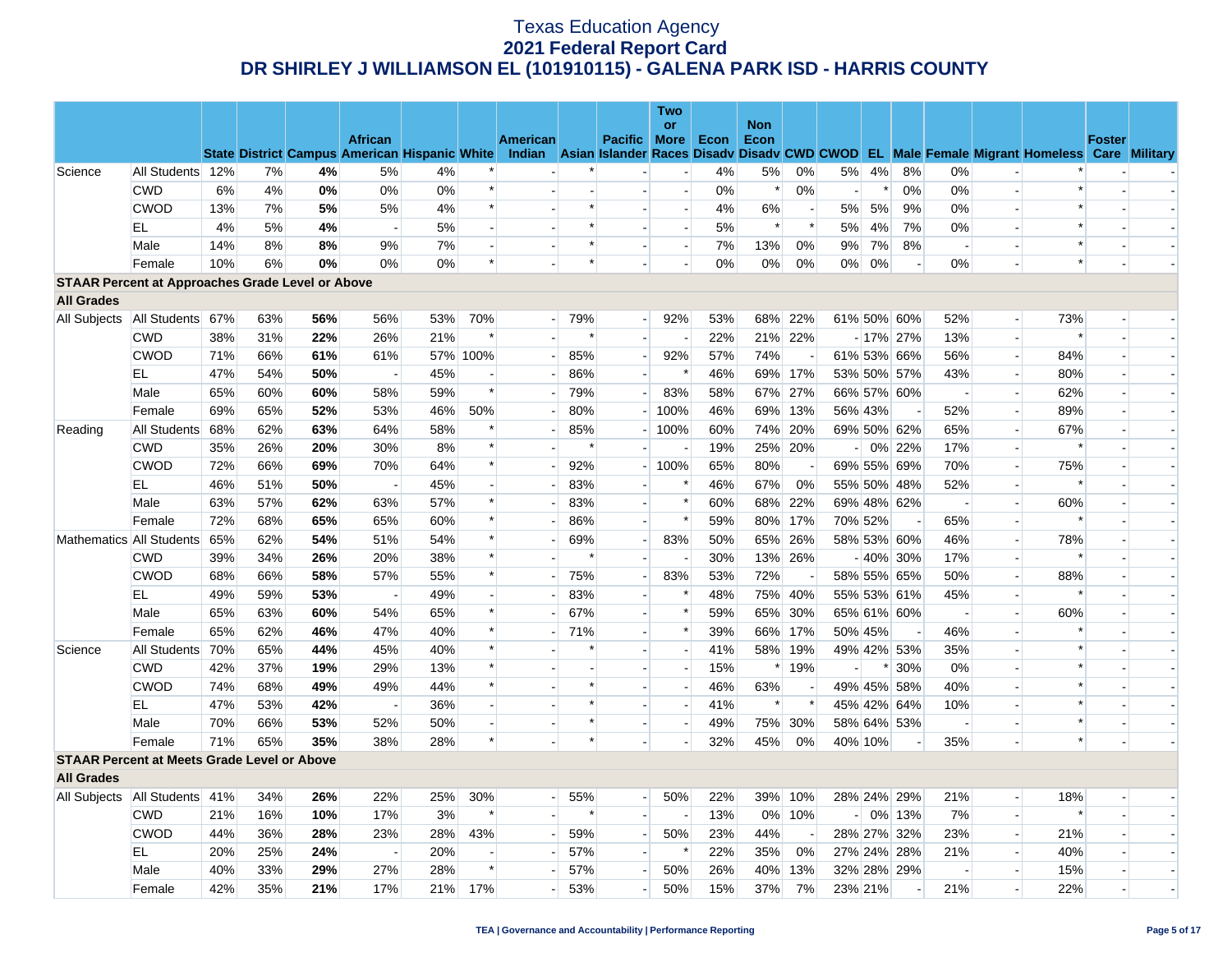|                                                         |                                 |     |     |     |                                                      |     |                          |                          |        |                          | <b>Two</b>               |      |            |                          |                |        |             |                          |                          |                                                                                                  |               |                          |
|---------------------------------------------------------|---------------------------------|-----|-----|-----|------------------------------------------------------|-----|--------------------------|--------------------------|--------|--------------------------|--------------------------|------|------------|--------------------------|----------------|--------|-------------|--------------------------|--------------------------|--------------------------------------------------------------------------------------------------|---------------|--------------------------|
|                                                         |                                 |     |     |     | <b>African</b>                                       |     |                          |                          |        |                          | or                       |      | <b>Non</b> |                          |                |        |             |                          |                          |                                                                                                  | <b>Foster</b> |                          |
|                                                         |                                 |     |     |     | <b>State District Campus American Hispanic White</b> |     |                          | American                 |        | Pacific More             |                          | Econ | Econ       |                          |                |        |             |                          |                          | Indian Asian Islander Races Disady Disady CWD CWOD EL Male Female Migrant Homeless Care Military |               |                          |
| Science                                                 | All Students 12%                |     | 7%  | 4%  | 5%                                                   | 4%  |                          |                          |        |                          | $\overline{\phantom{a}}$ | 4%   | 5%         | 0%                       | 5%             | 4%     | 8%          | 0%                       |                          |                                                                                                  |               |                          |
|                                                         | <b>CWD</b>                      | 6%  | 4%  | 0%  | 0%                                                   | 0%  | $\ast$                   |                          |        |                          | $\sim$                   | 0%   | $\ast$     | 0%                       | $\overline{a}$ | $\ast$ | 0%          | 0%                       | $\overline{a}$           | $\ast$                                                                                           |               |                          |
|                                                         | <b>CWOD</b>                     | 13% | 7%  | 5%  | 5%                                                   | 4%  | $\ast$                   |                          | $\ast$ | $\sim$                   | $\blacksquare$           | 4%   | 6%         |                          | 5%             | 5%     | 9%          | 0%                       | $\overline{\phantom{a}}$ | $\ast$                                                                                           |               |                          |
|                                                         | EL                              | 4%  | 5%  | 4%  | $\sim$                                               | 5%  |                          |                          | $\ast$ |                          | $\overline{\phantom{a}}$ | 5%   | $\ast$     | $\ast$                   | 5%             | 4%     | 7%          | 0%                       |                          | $\ast$                                                                                           |               |                          |
|                                                         | Male                            | 14% | 8%  | 8%  | 9%                                                   | 7%  |                          |                          | $\ast$ |                          | $\blacksquare$           | 7%   | 13%        | 0%                       | 9%             | 7%     | 8%          | $\overline{\phantom{a}}$ |                          | $\ast$                                                                                           |               |                          |
|                                                         | Female                          | 10% | 6%  | 0%  | 0%                                                   | 0%  | $\ast$                   |                          | $\ast$ |                          | $\overline{a}$           | 0%   | $0\%$      | 0%                       | $0\%$          | 0%     |             | 0%                       | $\overline{a}$           | $\ast$                                                                                           |               | $\overline{\phantom{a}}$ |
| <b>STAAR Percent at Approaches Grade Level or Above</b> |                                 |     |     |     |                                                      |     |                          |                          |        |                          |                          |      |            |                          |                |        |             |                          |                          |                                                                                                  |               |                          |
| <b>All Grades</b>                                       |                                 |     |     |     |                                                      |     |                          |                          |        |                          |                          |      |            |                          |                |        |             |                          |                          |                                                                                                  |               |                          |
| All Subjects                                            | All Students 67%                |     | 63% | 56% | 56%                                                  | 53% | 70%                      | - 1                      | 79%    | $\overline{a}$           | 92%                      | 53%  | 68%        | 22%                      |                |        | 61% 50% 60% | 52%                      | $\overline{\phantom{a}}$ | 73%                                                                                              |               |                          |
|                                                         | <b>CWD</b>                      | 38% | 31% | 22% | 26%                                                  | 21% |                          |                          | $\ast$ | $\blacksquare$           | $\blacksquare$           | 22%  |            | 21% 22%                  |                |        | $-17\%$ 27% | 13%                      | $\overline{\phantom{a}}$ |                                                                                                  |               |                          |
|                                                         | <b>CWOD</b>                     | 71% | 66% | 61% | 61%                                                  |     | 57% 100%                 | $\overline{a}$           | 85%    | $\overline{\phantom{a}}$ | 92%                      | 57%  | 74%        | $\overline{a}$           |                |        | 61% 53% 66% | 56%                      | ۷                        | 84%                                                                                              |               |                          |
|                                                         | EL                              | 47% | 54% | 50% | $\sim$                                               | 45% |                          | $\overline{\phantom{a}}$ | 86%    | $\overline{a}$           | $\ast$                   | 46%  | 69%        | 17%                      |                |        | 53% 50% 57% | 43%                      | $\overline{\phantom{a}}$ | 80%                                                                                              |               |                          |
|                                                         | Male                            | 65% | 60% | 60% | 58%                                                  | 59% | $\ast$                   | ÷.                       | 79%    | н.                       | 83%                      | 58%  |            | 67% 27%                  |                |        | 66% 57% 60% | $\sim$                   | ٠                        | 62%                                                                                              |               | $\overline{\phantom{a}}$ |
|                                                         | Female                          | 69% | 65% | 52% | 53%                                                  | 46% | 50%                      | $\overline{\phantom{a}}$ | 80%    |                          | $-100%$                  | 46%  | 69%        | 13%                      | 56% 43%        |        |             | 52%                      | ٤                        | 89%                                                                                              |               |                          |
| Reading                                                 | All Students                    | 68% | 62% | 63% | 64%                                                  | 58% |                          |                          | 85%    | $\overline{\phantom{a}}$ | 100%                     | 60%  |            | 74% 20%                  |                |        | 69% 50% 62% | 65%                      | $\overline{\phantom{a}}$ | 67%                                                                                              |               |                          |
|                                                         | <b>CWD</b>                      | 35% | 26% | 20% | 30%                                                  | 8%  | $\ast$                   |                          | $\ast$ |                          | $\blacksquare$           | 19%  |            | 25% 20%                  | $\sim$         |        | 0% 22%      | 17%                      |                          | $\ast$                                                                                           |               |                          |
|                                                         | <b>CWOD</b>                     | 72% | 66% | 69% | 70%                                                  | 64% | $\ast$                   | $\blacksquare$           | 92%    | $\overline{a}$           | 100%                     | 65%  | 80%        |                          |                |        | 69% 55% 69% | 70%                      | $\overline{\phantom{0}}$ | 75%                                                                                              |               |                          |
|                                                         | EL                              | 46% | 51% | 50% |                                                      | 45% |                          | $\overline{\phantom{a}}$ | 83%    |                          | $\ast$                   | 46%  | 67%        | 0%                       |                |        | 55% 50% 48% | 52%                      | $\overline{\phantom{a}}$ | $\ast$                                                                                           |               |                          |
|                                                         | Male                            | 63% | 57% | 62% | 63%                                                  | 57% |                          | $\sim$                   | 83%    | $\overline{a}$           | $\ast$                   | 60%  | 68%        | 22%                      |                |        | 69% 48% 62% | $\overline{\phantom{a}}$ | $\overline{\phantom{a}}$ | 60%                                                                                              |               |                          |
|                                                         | Female                          | 72% | 68% | 65% | 65%                                                  | 60% | $\ast$                   |                          | 86%    | $\overline{a}$           | $\ast$                   | 59%  | 80%        | 17%                      | 70% 52%        |        |             | 65%                      | ٤                        |                                                                                                  |               |                          |
| Mathematics All Students                                |                                 | 65% | 62% | 54% | 51%                                                  | 54% |                          |                          | 69%    | $\overline{a}$           | 83%                      | 50%  |            | 65% 26%                  |                |        | 58% 53% 60% | 46%                      | $\overline{\phantom{a}}$ | 78%                                                                                              |               |                          |
|                                                         | <b>CWD</b>                      | 39% | 34% | 26% | 20%                                                  | 38% | $\ast$                   |                          | $\ast$ | $\overline{\phantom{a}}$ | $\overline{\phantom{a}}$ | 30%  |            | 13% 26%                  |                |        | $-40\%$ 30% | 17%                      | $\overline{\phantom{a}}$ | $\ast$                                                                                           |               | $\overline{\phantom{a}}$ |
|                                                         | <b>CWOD</b>                     | 68% | 66% | 58% | 57%                                                  | 55% |                          |                          | 75%    | $\overline{a}$           | 83%                      | 53%  | 72%        |                          |                |        | 58% 55% 65% | 50%                      |                          | 88%                                                                                              |               |                          |
|                                                         | EL                              | 49% | 59% | 53% | $\overline{a}$                                       | 49% |                          |                          | 83%    | $\blacksquare$           | $\ast$                   | 48%  |            | 75% 40%                  |                |        | 55% 53% 61% | 45%                      | $\overline{\phantom{a}}$ | ∗                                                                                                |               | $\overline{\phantom{a}}$ |
|                                                         | Male                            | 65% | 63% | 60% | 54%                                                  | 65% |                          | $\overline{a}$           | 67%    |                          | $\ast$                   | 59%  | 65%        | 30%                      |                |        | 65% 61% 60% | $\sim$                   | ٤                        | 60%                                                                                              |               |                          |
|                                                         | Female                          | 65% | 62% | 46% | 47%                                                  | 40% |                          |                          | 71%    | $\sim$                   | $\ast$                   | 39%  | 66%        | 17%                      | 50% 45%        |        |             | 46%                      |                          |                                                                                                  |               |                          |
| Science                                                 | All Students                    | 70% | 65% | 44% | 45%                                                  | 40% | $\ast$                   |                          | $\ast$ | $\overline{a}$           | н.                       | 41%  | 58%        | 19%                      |                |        | 49% 42% 53% | 35%                      | $\overline{a}$           | $\ast$                                                                                           |               |                          |
|                                                         | <b>CWD</b>                      | 42% | 37% | 19% | 29%                                                  | 13% |                          |                          |        | $\sim$                   | $\blacksquare$           | 15%  |            | 19%                      |                |        | $*130%$     | 0%                       | $\blacksquare$           |                                                                                                  |               |                          |
|                                                         | <b>CWOD</b>                     | 74% | 68% | 49% | 49%                                                  | 44% | $\ast$                   |                          | $\ast$ | $\overline{a}$           | $\overline{\phantom{a}}$ | 46%  | 63%        |                          |                |        | 49% 45% 58% | 40%                      | $\sim$                   | $\ast$                                                                                           |               |                          |
|                                                         | EL                              | 47% | 53% | 42% | $\overline{\phantom{a}}$                             | 36% |                          |                          | $\ast$ | $\sim$                   | $\overline{\phantom{a}}$ | 41%  | $\ast$     |                          |                |        | 45% 42% 64% | 10%                      |                          |                                                                                                  |               |                          |
|                                                         | Male                            | 70% | 66% | 53% | 52%                                                  | 50% |                          |                          | $\ast$ | $\sim$                   | $\overline{a}$           | 49%  |            | 75% 30%                  |                |        | 58% 64% 53% | $\sim$                   |                          | $\ast$                                                                                           |               | $\overline{\phantom{a}}$ |
|                                                         | Female                          | 71% | 65% | 35% | 38%                                                  | 28% | $\ast$                   |                          | $\ast$ |                          | $\overline{\phantom{a}}$ | 32%  | 45%        | 0%                       | 40% 10%        |        |             | 35%                      |                          | $\ast$                                                                                           |               |                          |
| <b>STAAR Percent at Meets Grade Level or Above</b>      |                                 |     |     |     |                                                      |     |                          |                          |        |                          |                          |      |            |                          |                |        |             |                          |                          |                                                                                                  |               |                          |
| <b>All Grades</b>                                       |                                 |     |     |     |                                                      |     |                          |                          |        |                          |                          |      |            |                          |                |        |             |                          |                          |                                                                                                  |               |                          |
|                                                         | All Subjects   All Students 41% |     | 34% | 26% | 22%                                                  | 25% | 30%                      | $\overline{\phantom{a}}$ | 55%    | $\overline{a}$           | 50%                      | 22%  |            | 39% 10%                  |                |        | 28% 24% 29% | 21%                      | $\overline{\phantom{a}}$ | 18%                                                                                              |               |                          |
|                                                         | <b>CWD</b>                      | 21% | 16% | 10% | 17%                                                  | 3%  | $\ast$                   |                          | $\ast$ | $\mathbf{r}$             | $\overline{\phantom{a}}$ | 13%  | $0\%$      | 10%                      |                |        | $-0\%$ 13%  | 7%                       | ٤                        | $\ast$                                                                                           |               |                          |
|                                                         | <b>CWOD</b>                     | 44% | 36% | 28% | 23%                                                  | 28% | 43%                      |                          | 59%    | $\overline{a}$           | 50%                      | 23%  | 44%        | $\overline{\phantom{a}}$ |                |        | 28% 27% 32% | 23%                      | $\overline{\phantom{a}}$ | 21%                                                                                              |               |                          |
|                                                         | EL                              | 20% | 25% | 24% | $\sim$                                               | 20% | $\overline{\phantom{a}}$ |                          | 57%    | $\overline{a}$           | $\ast$                   | 22%  | 35%        | 0%                       |                |        | 27% 24% 28% | 21%                      | $\overline{\phantom{a}}$ | 40%                                                                                              |               | $\overline{\phantom{a}}$ |
|                                                         | Male                            | 40% | 33% | 29% | 27%                                                  | 28% | $\ast$                   |                          | 57%    | $\overline{\phantom{a}}$ | 50%                      | 26%  | 40%        | 13%                      |                |        | 32% 28% 29% |                          |                          | 15%                                                                                              |               |                          |
|                                                         | Female                          | 42% | 35% | 21% | 17%                                                  | 21% | 17%                      |                          | 53%    | H                        | 50%                      | 15%  | 37%        | 7%                       | 23% 21%        |        |             | 21%                      |                          | 22%                                                                                              |               | $\overline{\phantom{a}}$ |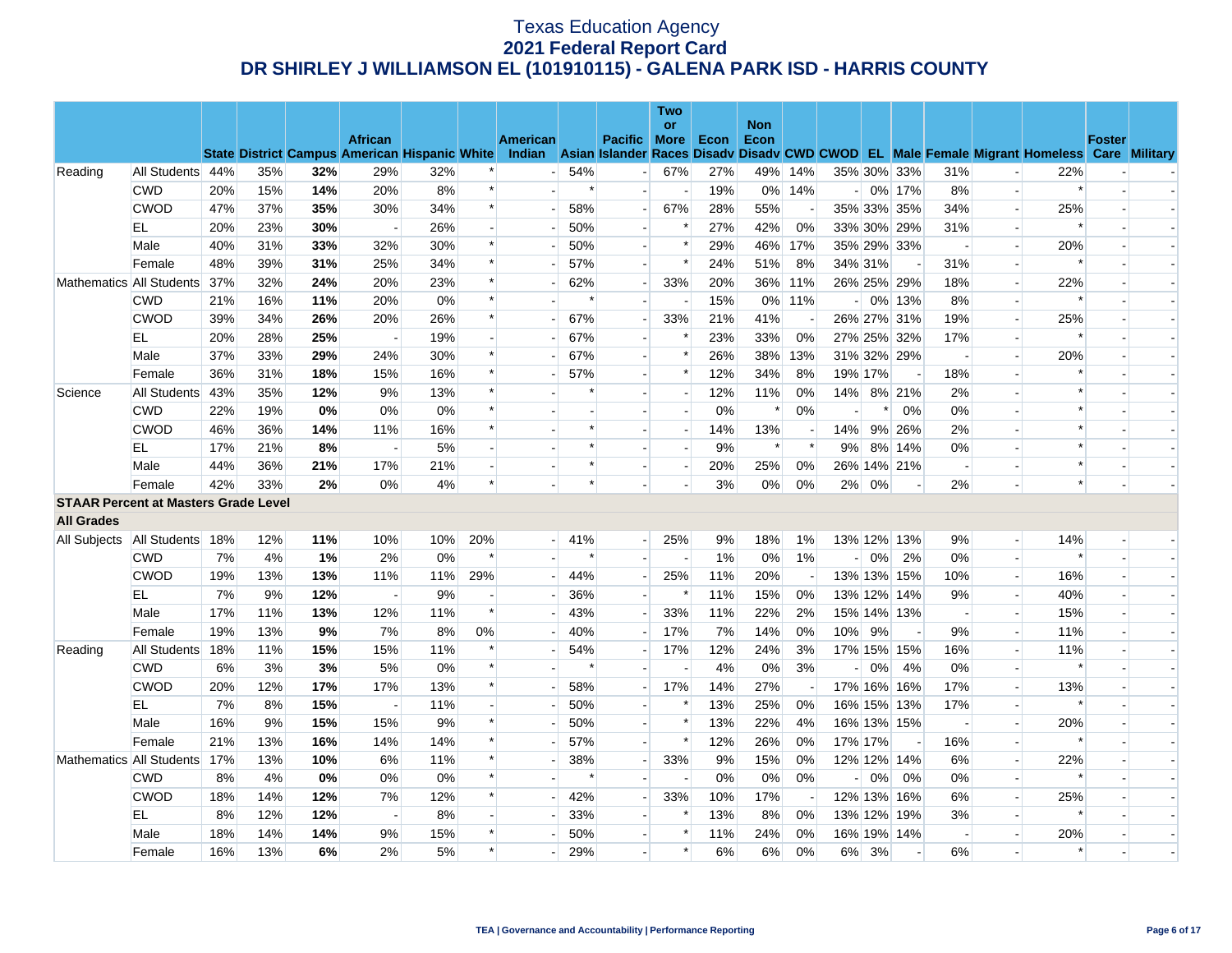|                                             |                  |     |     |     |                          |                                                      |                          |                          |        |                          | Two                      |      |                    |                          |                |         |                          |                          |                          |                                                                                                  |        |                          |
|---------------------------------------------|------------------|-----|-----|-----|--------------------------|------------------------------------------------------|--------------------------|--------------------------|--------|--------------------------|--------------------------|------|--------------------|--------------------------|----------------|---------|--------------------------|--------------------------|--------------------------|--------------------------------------------------------------------------------------------------|--------|--------------------------|
|                                             |                  |     |     |     | <b>African</b>           |                                                      |                          | <b>American</b>          |        | <b>Pacific More</b>      | or                       | Econ | <b>Non</b><br>Econ |                          |                |         |                          |                          |                          |                                                                                                  | Foster |                          |
|                                             |                  |     |     |     |                          | <b>State District Campus American Hispanic White</b> |                          |                          |        |                          |                          |      |                    |                          |                |         |                          |                          |                          | Indian Asian Islander Races Disady Disady CWD CWOD EL Male Female Migrant Homeless Care Military |        |                          |
| Reading                                     | All Students 44% |     | 35% | 32% | 29%                      | 32%                                                  |                          | $\overline{a}$           | 54%    | $\overline{a}$           | 67%                      | 27%  | 49%                | 14%                      |                |         | 35% 30% 33%              | 31%                      |                          | 22%                                                                                              |        |                          |
|                                             | <b>CWD</b>       | 20% | 15% | 14% | 20%                      | 8%                                                   | $\ast$                   |                          | $\ast$ | $\overline{\phantom{a}}$ | $\overline{\phantom{a}}$ | 19%  |                    | 0% 14%                   |                |         | $-0\%$ 17%               | 8%                       | $\overline{\phantom{a}}$ | $\ast$                                                                                           |        |                          |
|                                             | <b>CWOD</b>      | 47% | 37% | 35% | 30%                      | 34%                                                  | $\ast$                   |                          | 58%    |                          | 67%                      | 28%  | 55%                |                          |                |         | 35% 33% 35%              | 34%                      | $\overline{\phantom{a}}$ | 25%                                                                                              |        |                          |
|                                             | EL               | 20% | 23% | 30% | $\overline{\phantom{a}}$ | 26%                                                  |                          |                          | 50%    | $\sim$                   | $\ast$                   | 27%  | 42%                | 0%                       |                |         | 33% 30% 29%              | 31%                      | $\overline{a}$           | $\ast$                                                                                           |        |                          |
|                                             | Male             | 40% | 31% | 33% | 32%                      | 30%                                                  | $\ast$                   |                          | 50%    |                          | $\ast$                   | 29%  | 46%                | 17%                      |                |         | 35% 29% 33%              |                          |                          | 20%                                                                                              |        |                          |
|                                             | Female           | 48% | 39% | 31% | 25%                      | 34%                                                  | $\ast$                   |                          | 57%    | $\overline{a}$           | $\ast$                   | 24%  | 51%                | 8%                       |                | 34% 31% |                          | 31%                      | $\overline{\phantom{a}}$ | $\ast$                                                                                           |        | $\overline{\phantom{a}}$ |
| Mathematics All Students                    |                  | 37% | 32% | 24% | 20%                      | 23%                                                  | $\ast$                   |                          | 62%    | $\overline{a}$           | 33%                      | 20%  | 36%                | 11%                      |                |         | 26% 25% 29%              | 18%                      | $\blacksquare$           | 22%                                                                                              |        |                          |
|                                             | <b>CWD</b>       | 21% | 16% | 11% | 20%                      | 0%                                                   | $\ast$                   |                          |        | $\overline{a}$           |                          | 15%  | 0%                 | 11%                      |                |         | $-0\%$ 13%               | 8%                       | $\overline{\phantom{a}}$ |                                                                                                  |        |                          |
|                                             | <b>CWOD</b>      | 39% | 34% | 26% | 20%                      | 26%                                                  | $\ast$                   | $\overline{\phantom{a}}$ | 67%    | $\overline{a}$           | 33%                      | 21%  | 41%                | $\overline{\phantom{a}}$ |                |         | 26% 27% 31%              | 19%                      | $\overline{a}$           | 25%                                                                                              |        | $\sim$                   |
|                                             | EL               | 20% | 28% | 25% |                          | 19%                                                  |                          |                          | 67%    |                          | $\ast$                   | 23%  | 33%                | 0%                       |                |         | 27% 25% 32%              | 17%                      |                          | $\ast$                                                                                           |        |                          |
|                                             | Male             | 37% | 33% | 29% | 24%                      | 30%                                                  | $\ast$                   | $\sim$                   | 67%    | $\overline{a}$           | $\ast$                   | 26%  | 38%                | 13%                      |                |         | 31% 32% 29%              | $\sim$                   | $\overline{\phantom{a}}$ | 20%                                                                                              |        |                          |
|                                             | Female           | 36% | 31% | 18% | 15%                      | 16%                                                  | $\ast$                   |                          | 57%    |                          | $\ast$                   | 12%  | 34%                | 8%                       | 19% 17%        |         | $\overline{\phantom{a}}$ | 18%                      |                          |                                                                                                  |        |                          |
| Science                                     | All Students     | 43% | 35% | 12% | 9%                       | 13%                                                  | $\ast$                   |                          | $\ast$ |                          | $\overline{a}$           | 12%  | 11%                | 0%                       | 14%            |         | 8% 21%                   | 2%                       | $\overline{a}$           |                                                                                                  |        |                          |
|                                             | <b>CWD</b>       | 22% | 19% | 0%  | 0%                       | $0\%$                                                | $\ast$                   |                          |        |                          | $\overline{\phantom{a}}$ | 0%   |                    | 0%                       |                | *       | 0%                       | 0%                       | $\blacksquare$           |                                                                                                  |        |                          |
|                                             | <b>CWOD</b>      | 46% | 36% | 14% | 11%                      | 16%                                                  | $\ast$                   |                          | $\ast$ |                          | $\overline{a}$           | 14%  | 13%                |                          | 14%            |         | 9% 26%                   | 2%                       |                          | $\ast$                                                                                           |        |                          |
|                                             | EL.              | 17% | 21% | 8%  | $\overline{\phantom{a}}$ | 5%                                                   |                          |                          | *      | $\overline{a}$           | $\overline{a}$           | 9%   | $\ast$             | $\ast$                   | 9%             |         | 8% 14%                   | 0%                       |                          | $\ast$                                                                                           |        |                          |
|                                             | Male             | 44% | 36% | 21% | 17%                      | 21%                                                  |                          |                          | *      | $\overline{\phantom{a}}$ | $\overline{\phantom{a}}$ | 20%  | 25%                | 0%                       |                |         | 26% 14% 21%              | $\overline{\phantom{a}}$ |                          | $\ast$                                                                                           |        |                          |
|                                             | Female           | 42% | 33% | 2%  | 0%                       | 4%                                                   | $\ast$                   |                          | $\ast$ |                          | $\overline{a}$           | 3%   | $0\%$              | 0%                       | 2%             | 0%      |                          | 2%                       | $\overline{a}$           | $\ast$                                                                                           |        |                          |
| <b>STAAR Percent at Masters Grade Level</b> |                  |     |     |     |                          |                                                      |                          |                          |        |                          |                          |      |                    |                          |                |         |                          |                          |                          |                                                                                                  |        |                          |
| <b>All Grades</b>                           |                  |     |     |     |                          |                                                      |                          |                          |        |                          |                          |      |                    |                          |                |         |                          |                          |                          |                                                                                                  |        |                          |
| All Subjects                                | All Students 18% |     | 12% | 11% | 10%                      | 10%                                                  | 20%                      | $\overline{a}$           | 41%    | $\blacksquare$           | 25%                      | 9%   | 18%                | $1\%$                    |                |         | 13% 12% 13%              | 9%                       | $\overline{\phantom{a}}$ | 14%                                                                                              |        |                          |
|                                             | <b>CWD</b>       | 7%  | 4%  | 1%  | 2%                       | 0%                                                   | $\ast$                   |                          | $\ast$ |                          | $\overline{\phantom{a}}$ | 1%   | 0%                 | 1%                       | $\overline{a}$ | 0%      | 2%                       | 0%                       | $\overline{a}$           | $\ast$                                                                                           |        |                          |
|                                             | <b>CWOD</b>      | 19% | 13% | 13% | 11%                      | 11%                                                  | 29%                      |                          | 44%    |                          | 25%                      | 11%  | 20%                | $\overline{\phantom{a}}$ |                |         | 13% 13% 15%              | 10%                      | $\Box$                   | 16%                                                                                              |        |                          |
|                                             | EL               | 7%  | 9%  | 12% | $\overline{\phantom{a}}$ | 9%                                                   | $\overline{\phantom{a}}$ |                          | 36%    | $\sim$                   | $\ast$                   | 11%  | 15%                | 0%                       |                |         | 13% 12% 14%              | 9%                       | $\overline{\phantom{a}}$ | 40%                                                                                              |        |                          |
|                                             | Male             | 17% | 11% | 13% | 12%                      | 11%                                                  | $\ast$                   |                          | 43%    |                          | 33%                      | 11%  | 22%                | 2%                       |                |         | 15% 14% 13%              | $\overline{\phantom{a}}$ | $\overline{a}$           | 15%                                                                                              |        |                          |
|                                             | Female           | 19% | 13% | 9%  | 7%                       | 8%                                                   | 0%                       |                          | 40%    |                          | 17%                      | 7%   | 14%                | 0%                       | 10%            | 9%      |                          | 9%                       | $\overline{\phantom{a}}$ | 11%                                                                                              |        |                          |
| Reading                                     | All Students     | 18% | 11% | 15% | 15%                      | 11%                                                  | $\ast$                   |                          | 54%    |                          | 17%                      | 12%  | 24%                | 3%                       |                |         | 17% 15% 15%              | 16%                      |                          | 11%                                                                                              |        |                          |
|                                             | <b>CWD</b>       | 6%  | 3%  | 3%  | 5%                       | $0\%$                                                | $\ast$                   |                          | $\ast$ |                          |                          | 4%   | $0\%$              | 3%                       |                | 0%      | 4%                       | 0%                       |                          |                                                                                                  |        |                          |
|                                             | <b>CWOD</b>      | 20% | 12% | 17% | 17%                      | 13%                                                  | $\ast$                   |                          | 58%    |                          | 17%                      | 14%  | 27%                | $\overline{\phantom{a}}$ |                |         | 17% 16% 16%              | 17%                      |                          | 13%                                                                                              |        |                          |
|                                             | EL               | 7%  | 8%  | 15% |                          | 11%                                                  |                          | $\overline{\phantom{0}}$ | 50%    |                          | $\ast$                   | 13%  | 25%                | 0%                       |                |         | 16% 15% 13%              | 17%                      |                          | $\ast$                                                                                           |        |                          |
|                                             | Male             | 16% | 9%  | 15% | 15%                      | 9%                                                   | $\ast$                   | $\overline{a}$           | 50%    | $\overline{a}$           | $\ast$                   | 13%  | 22%                | 4%                       |                |         | 16% 13% 15%              | $\sim$                   | $\overline{a}$           | 20%                                                                                              |        | $\overline{\phantom{a}}$ |
|                                             | Female           | 21% | 13% | 16% | 14%                      | 14%                                                  | $\ast$                   |                          | 57%    |                          | $\ast$                   | 12%  | 26%                | 0%                       | 17% 17%        |         |                          | 16%                      |                          | $\ast$                                                                                           |        |                          |
| Mathematics All Students                    |                  | 17% | 13% | 10% | 6%                       | 11%                                                  | $\ast$                   |                          | 38%    |                          | 33%                      | 9%   | 15%                | 0%                       |                |         | 12% 12% 14%              | 6%                       | $\overline{\phantom{a}}$ | 22%                                                                                              |        |                          |
|                                             | <b>CWD</b>       | 8%  | 4%  | 0%  | 0%                       | $0\%$                                                | $\ast$                   |                          | $\ast$ |                          | $\overline{\phantom{a}}$ | 0%   | 0%                 | 0%                       |                | 0%      | 0%                       | 0%                       | $\overline{\phantom{a}}$ |                                                                                                  |        |                          |
|                                             | <b>CWOD</b>      | 18% | 14% | 12% | 7%                       | 12%                                                  | $\ast$                   |                          | 42%    |                          | 33%                      | 10%  | 17%                |                          |                |         | 12% 13% 16%              | 6%                       |                          | 25%                                                                                              |        |                          |
|                                             | EL               | 8%  | 12% | 12% | $\overline{\phantom{a}}$ | 8%                                                   |                          | $\overline{\phantom{a}}$ | 33%    | $\overline{\phantom{a}}$ | $\ast$                   | 13%  | 8%                 | 0%                       |                |         | 13% 12% 19%              | 3%                       |                          | $\ast$                                                                                           |        |                          |
|                                             | Male             | 18% | 14% | 14% | 9%                       | 15%                                                  | $\ast$                   |                          | 50%    |                          | $\ast$                   | 11%  | 24%                | 0%                       |                |         | 16% 19% 14%              | $\overline{\phantom{a}}$ |                          | 20%                                                                                              |        |                          |
|                                             | Female           | 16% | 13% | 6%  | 2%                       | 5%                                                   | $\ast$                   |                          | 29%    |                          | $\ast$                   | 6%   | 6%                 | 0%                       | $6\%$          | 3%      |                          | 6%                       |                          | $\ast$                                                                                           |        |                          |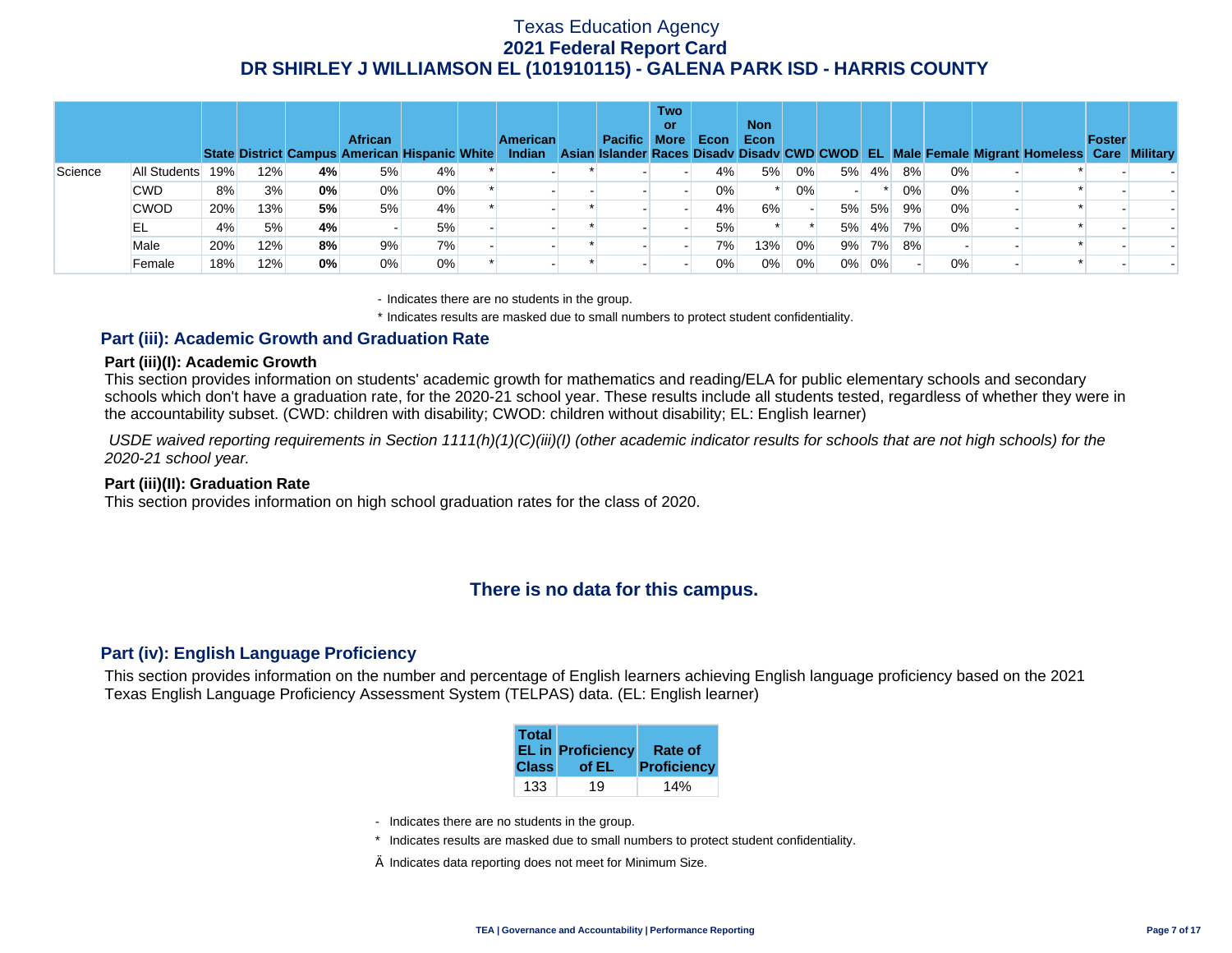|         |              |                                                    |     |    | <b>African</b> | State District Campus American Hispanic White | <b>American</b><br><b>Indian</b> | Pacific More | <b>Two</b><br><b>or</b> | Econ  | <b>Non</b><br>Econ |       |       |       |     |    | Asian Islander Races Disady Disady CWD CWOD EL Male Female Migrant Homeless Care Military | <b>Foster</b> |  |
|---------|--------------|----------------------------------------------------|-----|----|----------------|-----------------------------------------------|----------------------------------|--------------|-------------------------|-------|--------------------|-------|-------|-------|-----|----|-------------------------------------------------------------------------------------------|---------------|--|
| Science | All Students | 19%                                                | 12% | 4% | 5%             | 4%                                            |                                  |              |                         | 4%    | 5%                 | 0%    | 5%    | 4%    | 8%  | 0% |                                                                                           |               |  |
|         | <b>CWD</b>   | 0%<br>$0\%$<br>8%<br>3%<br>0%<br>$0\%$<br>0%<br>0% | 0%  |    |                |                                               |                                  |              |                         |       |                    |       |       |       |     |    |                                                                                           |               |  |
|         | <b>CWOD</b>  | 20%                                                | 13% | 5% | 5%             | 4%                                            |                                  |              |                         | 4%    | 6%                 |       | 5%    | 5%    | 9%  | 0% |                                                                                           |               |  |
|         | EL           | 4%                                                 | 5%  | 4% |                | 5%                                            |                                  |              |                         | 5%    |                    |       | 5%    | $4\%$ | 7%1 | 0% |                                                                                           |               |  |
|         | Male         | 20%                                                | 12% | 8% | 9%             | 7%                                            |                                  |              |                         | 7%    | 13%                | 0%    |       | 9% 7% | 8%  |    |                                                                                           |               |  |
|         | Female       | 18%                                                | 12% | 0% | 0%             | $0\%$                                         |                                  |              |                         | $0\%$ | 0%                 | $0\%$ | $0\%$ | 0%    |     | 0% |                                                                                           |               |  |

- Indicates there are no students in the group.

\* Indicates results are masked due to small numbers to protect student confidentiality.

### **Part (iii): Academic Growth and Graduation Rate**

#### **Part (iii)(I): Academic Growth**

This section provides information on students' academic growth for mathematics and reading/ELA for public elementary schools and secondary schools which don't have a graduation rate, for the 2020-21 school year. These results include all students tested, regardless of whether they were in the accountability subset. (CWD: children with disability; CWOD: children without disability; EL: English learner)

 *USDE waived reporting requirements in Section 1111(h)(1)(C)(iii)(I) (other academic indicator results for schools that are not high schools) for the 2020-21 school year.* 

#### **Part (iii)(II): Graduation Rate**

This section provides information on high school graduation rates for the class of 2020.

### **There is no data for this campus.**

#### **Part (iv): English Language Proficiency**

This section provides information on the number and percentage of English learners achieving English language proficiency based on the 2021 Texas English Language Proficiency Assessment System (TELPAS) data. (EL: English learner)

| <b>Total</b> | <b>EL in Proficiency</b> | Rate of            |
|--------------|--------------------------|--------------------|
| <b>Class</b> | of EL                    | <b>Proficiency</b> |
| 133          | 19                       |                    |

- Indicates there are no students in the group.
- \* Indicates results are masked due to small numbers to protect student confidentiality.
- $\diamond$  Indicates data reporting does not meet for Minimum Size.